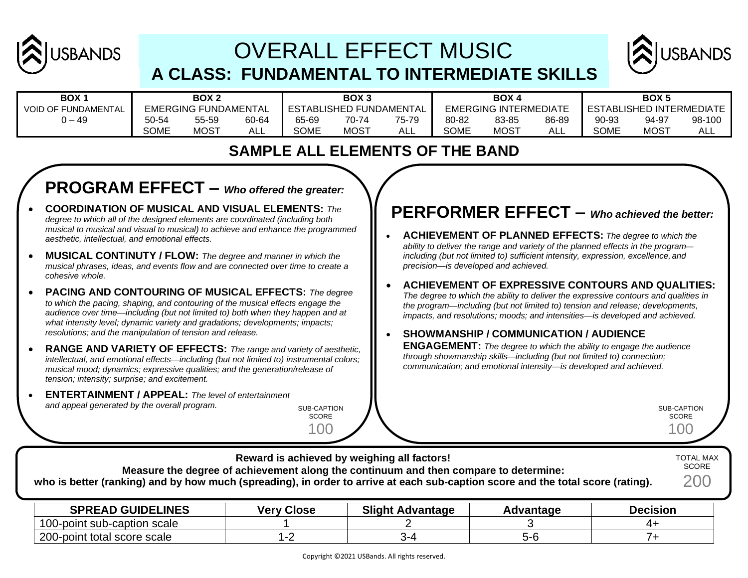

# OVERALL EFFECT MUSIC **A CLASS: FUNDAMENTAL TO INTERMEDIATE SKILLS**



| BOX <sub>1</sub>           | BOX <sub>2</sub> |                             |       | BOX <sub>3</sub> |                         |       | BOX 4       |                       |       | BOX <sub>5</sub>         |             |        |
|----------------------------|------------------|-----------------------------|-------|------------------|-------------------------|-------|-------------|-----------------------|-------|--------------------------|-------------|--------|
| <b>VOID OF FUNDAMENTAL</b> |                  | <b>EMERGING FUNDAMENTAL</b> |       |                  | ESTABLISHED FUNDAMENTAL |       |             | EMERGING INTERMEDIATE |       | ESTABLISHED INTERMEDIATE |             |        |
| 49 – ر                     | 50-54            | 55-59                       | 60-64 | 65-69            | 70-74                   | 75-79 | 80-82       | 83-85                 | 86-89 | 90-93                    | 94-97       | 98-100 |
|                            | <b>SOME</b>      | <b>MOST</b>                 |       | <b>SOME</b>      | <b>MOST</b>             | ALL   | <b>SOME</b> | <b>MOST</b>           | ALL   | <b>SOME</b>              | <b>MOST</b> | ALL    |

### **SAMPLE ALL ELEMENTS OF THE BAND**

## **PROGRAM EFFECT –** *Who offered the greater:*

- **COORDINATION OF MUSICAL AND VISUAL ELEMENTS:** *The degree to which all of the designed elements are coordinated (including both musical to musical and visual to musical) to achieve and enhance the programmed aesthetic, intellectual, and emotional effects.*
- **MUSICAL CONTINUTY / FLOW:** *The degree and manner in which the musical phrases, ideas, and events flow and are connected over time to create a cohesive whole.*
- **PACING AND CONTOURING OF MUSICAL EFFECTS:** *The degree to which the pacing, shaping, and contouring of the musical effects engage the audience over time—including (but not limited to) both when they happen and at what intensity level; dynamic variety and gradations; developments; impacts; resolutions; and the manipulation of tension and release.*
- **RANGE AND VARIETY OF EFFECTS:** *The range and variety of aesthetic, intellectual, and emotional effects—including (but not limited to) instrumental colors; musical mood; dynamics; expressive qualities; and the generation/release of tension; intensity; surprise; and excitement.*
- **ENTERTAINMENT / APPEAL:** *The level of entertainment and appeal generated by the overall program.*

SUB-CAPTION SCORE

100

## **PERFORMER EFFECT –** *Who achieved the better:*

- **ACHIEVEMENT OF PLANNED EFFECTS:** *The degree to which the ability to deliver the range and variety of the planned effects in the program including (but not limited to) sufficient intensity, expression, excellence, and precision—is developed and achieved.*
- **ACHIEVEMENT OF EXPRESSIVE CONTOURS AND QUALITIES:**  *The degree to which the ability to deliver the expressive contours and qualities in the program—including (but not limited to) tension and release; developments, impacts, and resolutions; moods; and intensities—is developed and achieved.*

#### • **SHOWMANSHIP / COMMUNICATION / AUDIENCE ENGAGEMENT:** *The degree to which the ability to engage the audience*

*through showmanship skills—including (but not limited to) connection; communication; and emotional intensity—is developed and achieved.*

> SUB-CAPTION SCORE 100

| Reward is achieved by weighing all factors!<br>Measure the degree of achievement along the continuum and then compare to determine:<br>who is better (ranking) and by how much (spreading), in order to arrive at each sub-caption score and the total score (rating). |                             |                   |                         |           |                 |  |
|------------------------------------------------------------------------------------------------------------------------------------------------------------------------------------------------------------------------------------------------------------------------|-----------------------------|-------------------|-------------------------|-----------|-----------------|--|
|                                                                                                                                                                                                                                                                        | <b>SPREAD GUIDELINES</b>    | <b>Very Close</b> | <b>Slight Advantage</b> | Advantage | <b>Decision</b> |  |
|                                                                                                                                                                                                                                                                        | 100-point sub-caption scale |                   |                         |           | 4+              |  |

200-point total score scale 1-2 1-2  $\vert$  3-4  $\vert$  5-6  $\vert$  7+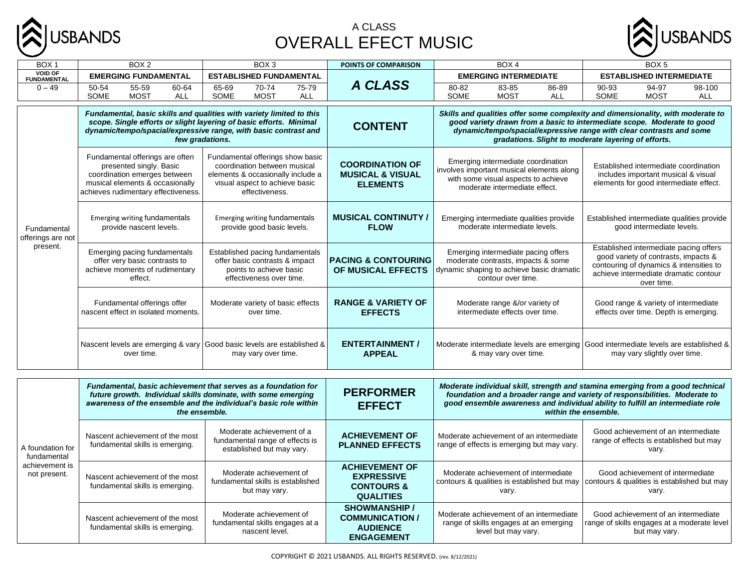

### A CLASS OVERALL EFECT MUSIC



| BOX <sub>1</sub>                     | BOX <sub>2</sub>                                                                                                                                                                                                     | BOX <sub>3</sub>                                                                                                                                          | POINTS OF COMPARISON                                                                    |                                                                                                                                                                                                                                                                                           | BOX 4                                                                                                                                                   | BOX <sub>5</sub>                                                                                                                                                                                                                                                        |  |  |  |
|--------------------------------------|----------------------------------------------------------------------------------------------------------------------------------------------------------------------------------------------------------------------|-----------------------------------------------------------------------------------------------------------------------------------------------------------|-----------------------------------------------------------------------------------------|-------------------------------------------------------------------------------------------------------------------------------------------------------------------------------------------------------------------------------------------------------------------------------------------|---------------------------------------------------------------------------------------------------------------------------------------------------------|-------------------------------------------------------------------------------------------------------------------------------------------------------------------------------------------------------------------------------------------------------------------------|--|--|--|
| <b>VOID OF</b><br><b>FUNDAMENTAL</b> | <b>EMERGING FUNDAMENTAL</b>                                                                                                                                                                                          | <b>ESTABLISHED FUNDAMENTAL</b>                                                                                                                            |                                                                                         |                                                                                                                                                                                                                                                                                           | <b>EMERGING INTERMEDIATE</b>                                                                                                                            | <b>ESTABLISHED INTERMEDIATE</b>                                                                                                                                                                                                                                         |  |  |  |
| $0 - 49$                             | 55-59<br>50-54<br>60-64<br>SOME<br><b>MOST</b><br><b>ALL</b>                                                                                                                                                         | 65-69<br>$70-74$<br>$75 - 79$<br><b>SOME</b><br><b>MOST</b><br><b>ALL</b>                                                                                 | <b>A CLASS</b>                                                                          | $80 - 82$<br>SOME                                                                                                                                                                                                                                                                         | 83-85<br>86-89<br><b>MOST</b><br>ALL                                                                                                                    | $90 - 93$<br>$94-97$<br>$98 - 100$<br><b>SOME</b><br><b>MOST</b><br><b>ALL</b>                                                                                                                                                                                          |  |  |  |
|                                      | scope. Single efforts or slight layering of basic efforts. Minimal<br>dynamic/tempo/spacial/expressive range, with basic contrast and<br>few gradations.                                                             | Fundamental, basic skills and qualities with variety limited to this                                                                                      | <b>CONTENT</b>                                                                          | Skills and qualities offer some complexity and dimensionality, with moderate to<br>good variety drawn from a basic to intermediate scope. Moderate to good<br>dynamic/tempo/spacial/expressive range with clear contrasts and some<br>gradations. Slight to moderate layering of efforts. |                                                                                                                                                         |                                                                                                                                                                                                                                                                         |  |  |  |
|                                      | Fundamental offerings are often<br>presented singly. Basic<br>coordination emerges between<br>musical elements & occasionally<br>achieves rudimentary effectiveness.                                                 | Fundamental offerings show basic<br>coordination between musical<br>elements & occasionally include a<br>visual aspect to achieve basic<br>effectiveness. | <b>COORDINATION OF</b><br><b>MUSICAL &amp; VISUAL</b><br><b>ELEMENTS</b>                |                                                                                                                                                                                                                                                                                           | Emerging intermediate coordination<br>involves important musical elements along<br>with some visual aspects to achieve<br>moderate intermediate effect. | Established intermediate coordination<br>includes important musical & visual<br>elements for good intermediate effect.                                                                                                                                                  |  |  |  |
| Fundamental<br>offerings are not     | <b>Emerging writing fundamentals</b><br>provide nascent levels.                                                                                                                                                      | <b>Emerging writing fundamentals</b><br>provide good basic levels.                                                                                        | <b>MUSICAL CONTINUTY /</b><br><b>FLOW</b>                                               | Emerging intermediate qualities provide<br>moderate intermediate levels.                                                                                                                                                                                                                  | Established intermediate qualities provide<br>good intermediate levels.                                                                                 |                                                                                                                                                                                                                                                                         |  |  |  |
| present.                             | Emerging pacing fundamentals<br>offer very basic contrasts to<br>achieve moments of rudimentary<br>effect.                                                                                                           | Established pacing fundamentals<br>offer basic contrasts & impact<br>points to achieve basic<br>effectiveness over time.                                  | <b>PACING &amp; CONTOURING</b><br>OF MUSICAL EFFECTS                                    |                                                                                                                                                                                                                                                                                           | Emerging intermediate pacing offers<br>moderate contrasts, impacts & some<br>dynamic shaping to achieve basic dramatic<br>contour over time.            | Established intermediate pacing offers<br>good variety of contrasts, impacts &<br>contouring of dynamics & intensities to<br>achieve intermediate dramatic contour<br>over time.                                                                                        |  |  |  |
|                                      | Fundamental offerings offer<br>nascent effect in isolated moments.                                                                                                                                                   | Moderate variety of basic effects<br>over time.                                                                                                           | <b>RANGE &amp; VARIETY OF</b><br><b>EFFECTS</b>                                         |                                                                                                                                                                                                                                                                                           | Moderate range &/or variety of<br>intermediate effects over time.                                                                                       | Good range & variety of intermediate<br>effects over time. Depth is emerging.                                                                                                                                                                                           |  |  |  |
|                                      | over time.                                                                                                                                                                                                           | Nascent levels are emerging & vary Good basic levels are established &<br>may vary over time.                                                             | <b>ENTERTAINMENT /</b><br><b>APPEAL</b>                                                 |                                                                                                                                                                                                                                                                                           | & may vary over time.                                                                                                                                   | Moderate intermediate levels are emerging Good intermediate levels are established &<br>may vary slightly over time.                                                                                                                                                    |  |  |  |
|                                      |                                                                                                                                                                                                                      |                                                                                                                                                           |                                                                                         |                                                                                                                                                                                                                                                                                           |                                                                                                                                                         |                                                                                                                                                                                                                                                                         |  |  |  |
|                                      | Fundamental, basic achievement that serves as a foundation for<br>future growth. Individual skills dominate, with some emerging<br>awareness of the ensemble and the individual's basic role within<br>the ensemble. |                                                                                                                                                           | <b>PERFORMER</b><br><b>EFFECT</b>                                                       |                                                                                                                                                                                                                                                                                           |                                                                                                                                                         | Moderate individual skill, strength and stamina emerging from a good technical<br>foundation and a broader range and variety of responsibilities. Moderate to<br>good ensemble awareness and individual ability to fulfill an intermediate role<br>within the ensemble. |  |  |  |
| A foundation for<br>fundamental      | Moderate achievement of a<br>Nascent achievement of the most<br>fundamental range of effects is<br>fundamental skills is emerging.<br>established but may vary.                                                      |                                                                                                                                                           | <b>ACHIEVEMENT OF</b><br><b>PLANNED EFFECTS</b>                                         | Moderate achievement of an intermediate<br>range of effects is emerging but may vary.                                                                                                                                                                                                     |                                                                                                                                                         | Good achievement of an intermediate<br>range of effects is established but may<br>vary.                                                                                                                                                                                 |  |  |  |
| achievement is<br>not present.       | Nascent achievement of the most<br>fundamental skills is emerging.                                                                                                                                                   | Moderate achievement of<br>fundamental skills is established<br>but may vary.                                                                             | <b>ACHIEVEMENT OF</b><br><b>EXPRESSIVE</b><br><b>CONTOURS &amp;</b><br><b>QUALITIES</b> | Moderate achievement of intermediate<br>contours & qualities is established but may                                                                                                                                                                                                       | Good achievement of intermediate<br>contours & qualities is established but may<br>vary.                                                                |                                                                                                                                                                                                                                                                         |  |  |  |
|                                      | Nascent achievement of the most<br>fundamental skills is emerging.                                                                                                                                                   | Moderate achievement of<br>fundamental skills engages at a<br>nascent level.                                                                              | <b>SHOWMANSHIP /</b><br><b>COMMUNICATION /</b><br><b>AUDIENCE</b><br><b>ENGAGEMENT</b>  |                                                                                                                                                                                                                                                                                           | Moderate achievement of an intermediate<br>range of skills engages at an emerging<br>level but may vary.                                                | Good achievement of an intermediate<br>range of skills engages at a moderate level<br>but may vary.                                                                                                                                                                     |  |  |  |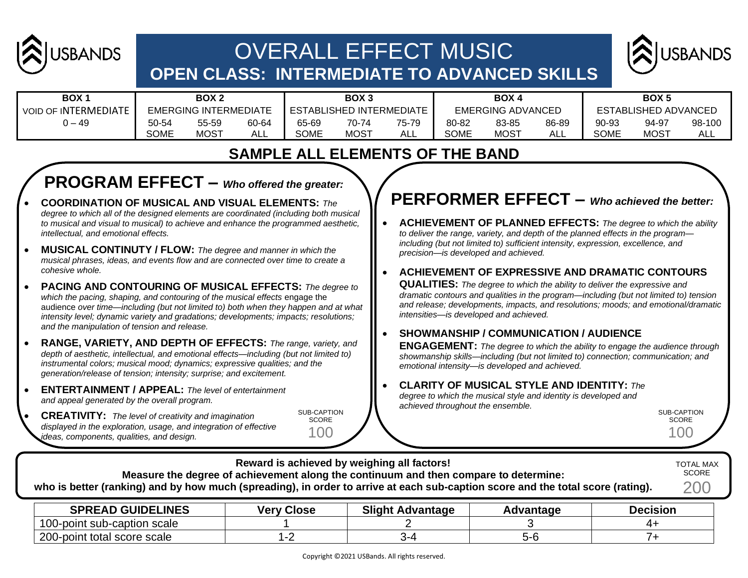

# OVERALL EFFECT MUSIC **OPEN CLASS: INTERMEDIATE TO ADVANCED SKILLS**



| BOX <sub>1</sub>            | BOX <sub>2</sub> |                       | BOX <sub>3</sub> |       | BOX 4                    |       | BOX <sub>5</sub> |                          |       |       |                             |        |
|-----------------------------|------------------|-----------------------|------------------|-------|--------------------------|-------|------------------|--------------------------|-------|-------|-----------------------------|--------|
| <b>VOID OF INTERMEDIATE</b> |                  | EMERGING INTERMEDIATE |                  |       | ESTABLISHED INTERMEDIATE |       |                  | <b>EMERGING ADVANCED</b> |       |       | <b>ESTABLISHED ADVANCED</b> |        |
| $-49$                       | 50-54            | 55-59                 | 60-64            | 65-69 | 70-74                    | 75-79 | 80-82            | 83-85                    | 86-89 | 90-93 | 94-97                       | 98-100 |
|                             | SOME             | MOST                  | <b>ALL</b>       | SOME  | MOST                     | ALL   | <b>SOME</b>      | MOST                     | ALL   | Some  | <b>MOST</b>                 | ALL    |

### **SAMPLE ALL ELEMENTS OF THE BAND**

**PROGRAM EFFECT –** *Who offered the greater:*

- **COORDINATION OF MUSICAL AND VISUAL ELEMENTS:** *The*  degree to which all of the designed elements are coordinated (including both musical *to musical and visual to musical) to achieve and enhance the programmed aesthetic, intellectual, and emotional effects.*
- **MUSICAL CONTINUTY / FLOW:** *The degree and manner in which the musical phrases, ideas, and events flow and are connected over time to create a cohesive whole.*
- **PACING AND CONTOURING OF MUSICAL EFFECTS:** *The degree to which the pacing, shaping, and contouring of the musical effects* engage the audience *over time—including (but not limited to) both when they happen and at what intensity level; dynamic variety and gradations; developments; impacts; resolutions; and the manipulation of tension and release.*
- **RANGE, VARIETY, AND DEPTH OF EFFECTS:** *The range, variety, and depth of aesthetic, intellectual, and emotional effects—including (but not limited to) instrumental colors; musical mood; dynamics; expressive qualities; and the generation/release of tension; intensity; surprise; and excitement.*
- **ENTERTAINMENT / APPEAL:** *The level of entertainment and appeal generated by the overall program.*
- **CREATIVITY:** *The level of creativity and imagination displayed in the exploration, usage, and integration of effective ideas, components, qualities, and design.*

SUB-CAPTION **SCORE** 100

# **PERFORMER EFFECT –** *Who achieved the better:*

- **ACHIEVEMENT OF PLANNED EFFECTS:** *The degree to which the ability to deliver the range, variety, and depth of the planned effects in the program including (but not limited to) sufficient intensity, expression, excellence, and precision—is developed and achieved.*
- **ACHIEVEMENT OF EXPRESSIVE AND DRAMATIC CONTOURS**

**QUALITIES:** *The degree to which the ability to deliver the expressive and dramatic contours and qualities in the program—including (but not limited to) tension and release; developments, impacts, and resolutions; moods; and emotional/dramatic intensities—is developed and achieved.*

#### • **SHOWMANSHIP / COMMUNICATION / AUDIENCE**

**ENGAGEMENT:** *The degree to which the ability to engage the audience through showmanship skills—including (but not limited to) connection; communication; and emotional intensity—is developed and achieved.*

• **CLARITY OF MUSICAL STYLE AND IDENTITY:** *The degree to which the musical style and identity is developed and achieved throughout the ensemble.*

SUB-CAPTION **SCORE** 100

**Reward is achieved by weighing all factors! Measure the degree of achievement along the continuum and then compare to determine: who is better (ranking) and by how much (spreading), in order to arrive at each sub-caption score and the total score (rating).** TOTAL MAX **SCORE** 200

| <b>GUIDELINES</b><br><b>SPREAD</b>  | <b>Very Close</b> | <b>Slight A</b><br><b>Advantage</b> | Advantage | <b>Decision</b> |
|-------------------------------------|-------------------|-------------------------------------|-----------|-----------------|
| $00 -$<br>l-point sub-caption scale |                   |                                     |           |                 |
| $200 -$<br>-point total score scale |                   |                                     | ס-פ       |                 |